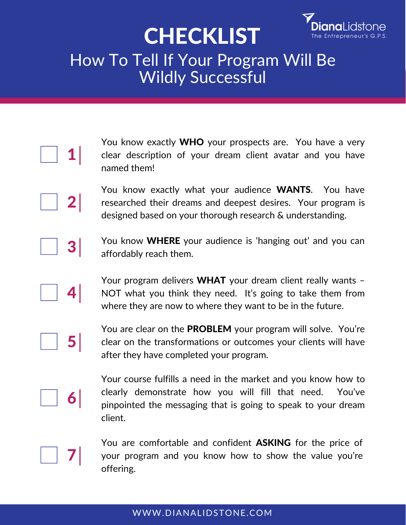## **CHECKLIST**



## How To Tell If Your Program Will Be **Wildly Successful**

|  | You know exactly <b>WHO</b> your prospects are. You have a very<br>clear description of your dream client avatar and you have<br>named them!                                                            |
|--|---------------------------------------------------------------------------------------------------------------------------------------------------------------------------------------------------------|
|  | You know exactly what your audience <b>WANTS</b> . You have<br>researched their dreams and deepest desires. Your program is<br>designed based on your thorough research & understanding.                |
|  | You know WHERE your audience is 'hanging out' and you can<br>affordably reach them.                                                                                                                     |
|  | Your program delivers WHAT your dream client really wants -<br>NOT what you think they need. It's going to take them from<br>where they are now to where they want to be in the future.                 |
|  | You are clear on the PROBLEM your program will solve. You're<br>clear on the transformations or outcomes your clients will have<br>after they have completed your program.                              |
|  | Your course fulfills a need in the market and you know how to<br>clearly demonstrate how you will fill that need.<br>You've<br>pinpointed the messaging that is going to speak to your dream<br>client. |

You are comfortable and confident ASKING for the price of your program and you know how to show the value you're offering.

7